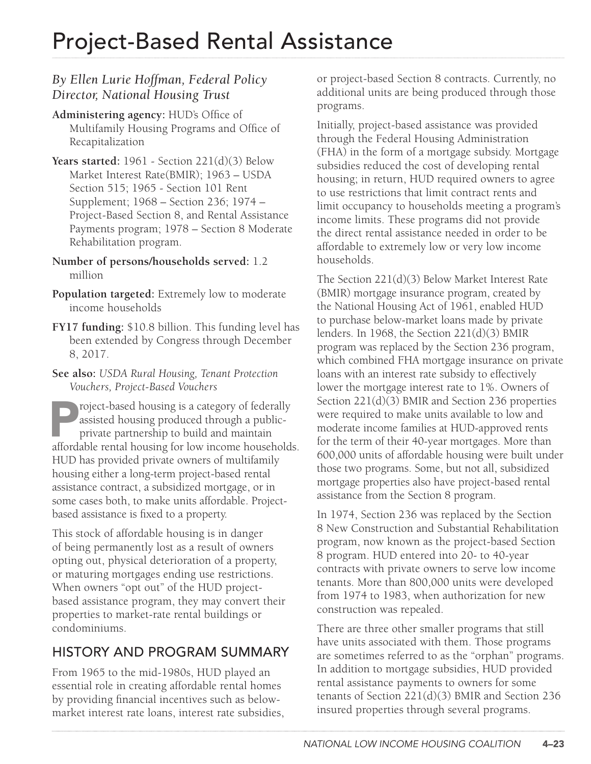### *By Ellen Lurie Hoffman, Federal Policy Director, National Housing Trust*

- **Administering agency:** HUD's Office of Multifamily Housing Programs and Office of Recapitalization
- **Years started:** 1961 Section 221(d)(3) Below Market Interest Rate(BMIR); 1963 – USDA Section 515; 1965 - Section 101 Rent Supplement; 1968 – Section 236; 1974 – Project-Based Section 8, and Rental Assistance Payments program; 1978 – Section 8 Moderate Rehabilitation program.
- **Number of persons/households served:** 1.2 million
- **Population targeted:** Extremely low to moderate income households
- **FY17 funding:** \$10.8 billion. This funding level has been extended by Congress through December 8, 2017.
- **See also:** *USDA Rural Housing, Tenant Protection Vouchers, Project-Based Vouchers*
- Project-based housing is a category of federally<br>assisted housing produced through a public-<br>private partnership to build and maintain<br>affordable rental housing for low income household: assisted housing produced through a publicprivate partnership to build and maintain affordable rental housing for low income households. HUD has provided private owners of multifamily housing either a long-term project-based rental assistance contract, a subsidized mortgage, or in some cases both, to make units affordable. Projectbased assistance is fixed to a property.
- This stock of affordable housing is in danger of being permanently lost as a result of owners opting out, physical deterioration of a property, or maturing mortgages ending use restrictions. When owners "opt out" of the HUD projectbased assistance program, they may convert their properties to market-rate rental buildings or condominiums.

## HISTORY AND PROGRAM SUMMARY

From 1965 to the mid-1980s, HUD played an essential role in creating affordable rental homes by providing financial incentives such as belowmarket interest rate loans, interest rate subsidies, or project-based Section 8 contracts. Currently, no additional units are being produced through those programs.

Initially, project-based assistance was provided through the Federal Housing Administration (FHA) in the form of a mortgage subsidy. Mortgage subsidies reduced the cost of developing rental housing; in return, HUD required owners to agree to use restrictions that limit contract rents and limit occupancy to households meeting a program's income limits. These programs did not provide the direct rental assistance needed in order to be affordable to extremely low or very low income households.

The Section 221(d)(3) Below Market Interest Rate (BMIR) mortgage insurance program, created by the National Housing Act of 1961, enabled HUD to purchase below-market loans made by private lenders. In 1968, the Section 221(d)(3) BMIR program was replaced by the Section 236 program, which combined FHA mortgage insurance on private loans with an interest rate subsidy to effectively lower the mortgage interest rate to 1%. Owners of Section 221(d)(3) BMIR and Section 236 properties were required to make units available to low and moderate income families at HUD-approved rents for the term of their 40-year mortgages. More than 600,000 units of affordable housing were built under those two programs. Some, but not all, subsidized mortgage properties also have project-based rental assistance from the Section 8 program.

In 1974, Section 236 was replaced by the Section 8 New Construction and Substantial Rehabilitation program, now known as the project-based Section 8 program. HUD entered into 20- to 40-year contracts with private owners to serve low income tenants. More than 800,000 units were developed from 1974 to 1983, when authorization for new construction was repealed.

There are three other smaller programs that still have units associated with them. Those programs are sometimes referred to as the "orphan" programs. In addition to mortgage subsidies, HUD provided rental assistance payments to owners for some tenants of Section 221(d)(3) BMIR and Section 236 insured properties through several programs.

*NATIONAL LOW INCOME HOUSING COALITION* 4–23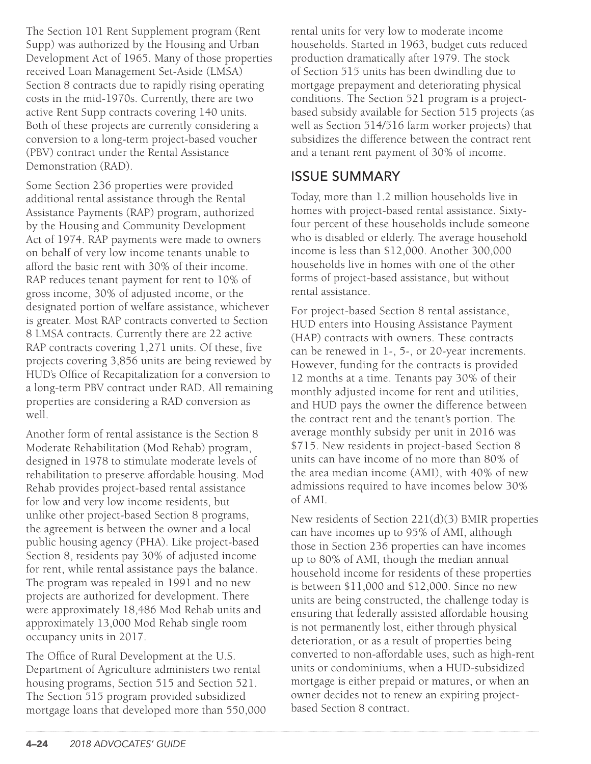The Section 101 Rent Supplement program (Rent Supp) was authorized by the Housing and Urban Development Act of 1965. Many of those properties received Loan Management Set-Aside (LMSA) Section 8 contracts due to rapidly rising operating costs in the mid-1970s. Currently, there are two active Rent Supp contracts covering 140 units. Both of these projects are currently considering a conversion to a long-term project-based voucher (PBV) contract under the Rental Assistance Demonstration (RAD).

Some Section 236 properties were provided additional rental assistance through the Rental Assistance Payments (RAP) program, authorized by the Housing and Community Development Act of 1974. RAP payments were made to owners on behalf of very low income tenants unable to afford the basic rent with 30% of their income. RAP reduces tenant payment for rent to 10% of gross income, 30% of adjusted income, or the designated portion of welfare assistance, whichever is greater. Most RAP contracts converted to Section 8 LMSA contracts. Currently there are 22 active RAP contracts covering 1,271 units. Of these, five projects covering 3,856 units are being reviewed by HUD's Office of Recapitalization for a conversion to a long-term PBV contract under RAD. All remaining properties are considering a RAD conversion as well.

Another form of rental assistance is the Section 8 Moderate Rehabilitation (Mod Rehab) program, designed in 1978 to stimulate moderate levels of rehabilitation to preserve affordable housing. Mod Rehab provides project-based rental assistance for low and very low income residents, but unlike other project-based Section 8 programs, the agreement is between the owner and a local public housing agency (PHA). Like project-based Section 8, residents pay 30% of adjusted income for rent, while rental assistance pays the balance. The program was repealed in 1991 and no new projects are authorized for development. There were approximately 18,486 Mod Rehab units and approximately 13,000 Mod Rehab single room occupancy units in 2017.

The Office of Rural Development at the U.S. Department of Agriculture administers two rental housing programs, Section 515 and Section 521. The Section 515 program provided subsidized mortgage loans that developed more than 550,000 rental units for very low to moderate income households. Started in 1963, budget cuts reduced production dramatically after 1979. The stock of Section 515 units has been dwindling due to mortgage prepayment and deteriorating physical conditions. The Section 521 program is a projectbased subsidy available for Section 515 projects (as well as Section 514/516 farm worker projects) that subsidizes the difference between the contract rent and a tenant rent payment of 30% of income.

#### ISSUE SUMMARY

Today, more than 1.2 million households live in homes with project-based rental assistance. Sixtyfour percent of these households include someone who is disabled or elderly. The average household income is less than \$12,000. Another 300,000 households live in homes with one of the other forms of project-based assistance, but without rental assistance.

For project-based Section 8 rental assistance, HUD enters into Housing Assistance Payment (HAP) contracts with owners. These contracts can be renewed in 1-, 5-, or 20-year increments. However, funding for the contracts is provided 12 months at a time. Tenants pay 30% of their monthly adjusted income for rent and utilities, and HUD pays the owner the difference between the contract rent and the tenant's portion. The average monthly subsidy per unit in 2016 was \$715. New residents in project-based Section 8 units can have income of no more than 80% of the area median income (AMI), with 40% of new admissions required to have incomes below 30% of AMI.

New residents of Section 221(d)(3) BMIR properties can have incomes up to 95% of AMI, although those in Section 236 properties can have incomes up to 80% of AMI, though the median annual household income for residents of these properties is between \$11,000 and \$12,000. Since no new units are being constructed, the challenge today is ensuring that federally assisted affordable housing is not permanently lost, either through physical deterioration, or as a result of properties being converted to non-affordable uses, such as high-rent units or condominiums, when a HUD-subsidized mortgage is either prepaid or matures, or when an owner decides not to renew an expiring projectbased Section 8 contract.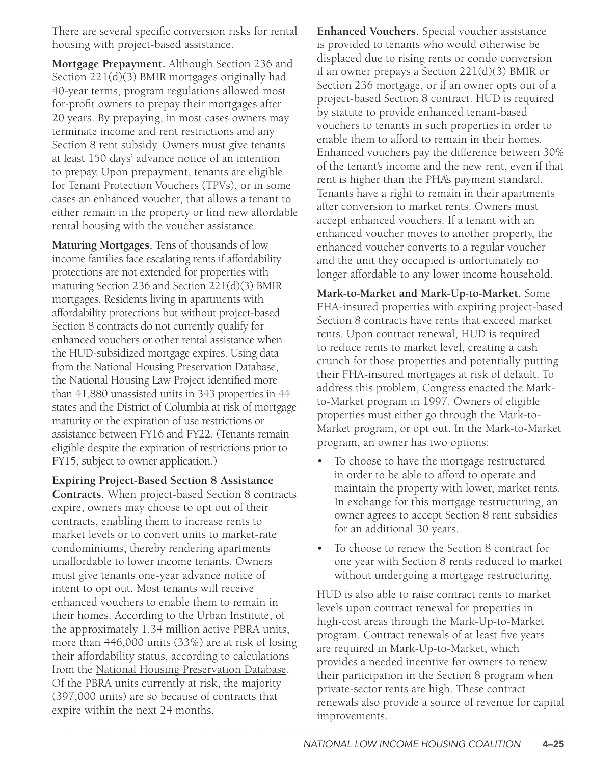There are several specific conversion risks for rental housing with project-based assistance.

**Mortgage Prepayment.** Although Section 236 and Section 221(d)(3) BMIR mortgages originally had 40-year terms, program regulations allowed most for-profit owners to prepay their mortgages after 20 years. By prepaying, in most cases owners may terminate income and rent restrictions and any Section 8 rent subsidy. Owners must give tenants at least 150 days' advance notice of an intention to prepay. Upon prepayment, tenants are eligible for Tenant Protection Vouchers (TPVs), or in some cases an enhanced voucher, that allows a tenant to either remain in the property or find new affordable rental housing with the voucher assistance.

**Maturing Mortgages.** Tens of thousands of low income families face escalating rents if affordability protections are not extended for properties with maturing Section 236 and Section 221(d)(3) BMIR mortgages. Residents living in apartments with affordability protections but without project-based Section 8 contracts do not currently qualify for enhanced vouchers or other rental assistance when the HUD-subsidized mortgage expires. Using data from the National Housing Preservation Database, the National Housing Law Project identified more than 41,880 unassisted units in 343 properties in 44 states and the District of Columbia at risk of mortgage maturity or the expiration of use restrictions or assistance between FY16 and FY22. (Tenants remain eligible despite the expiration of restrictions prior to FY15, subject to owner application.)

**Expiring Project-Based Section 8 Assistance Contracts.** When project-based Section 8 contracts expire, owners may choose to opt out of their contracts, enabling them to increase rents to market levels or to convert units to market-rate condominiums, thereby rendering apartments unaffordable to lower income tenants. Owners must give tenants one-year advance notice of intent to opt out. Most tenants will receive enhanced vouchers to enable them to remain in their homes. According to the Urban Institute, of the approximately 1.34 million active PBRA units, more than 446,000 units (33%) are at risk of losing their [affordability status](http://www.urban.org/sites/default/files/alfresco/publication-pdfs/2000943-Evidence-Based-Reform-of-Federal-Rental-Assistance.pdf), according to calculations from the [National Housing Preservation Database.](http://www.preservationdatabase.org/) Of the PBRA units currently at risk, the majority (397,000 units) are so because of contracts that expire within the next 24 months.

**Enhanced Vouchers.** Special voucher assistance is provided to tenants who would otherwise be displaced due to rising rents or condo conversion if an owner prepays a Section 221(d)(3) BMIR or Section 236 mortgage, or if an owner opts out of a project-based Section 8 contract. HUD is required by statute to provide enhanced tenant-based vouchers to tenants in such properties in order to enable them to afford to remain in their homes. Enhanced vouchers pay the difference between 30% of the tenant's income and the new rent, even if that rent is higher than the PHA's payment standard. Tenants have a right to remain in their apartments after conversion to market rents. Owners must accept enhanced vouchers. If a tenant with an enhanced voucher moves to another property, the enhanced voucher converts to a regular voucher and the unit they occupied is unfortunately no longer affordable to any lower income household.

**Mark-to-Market and Mark-Up-to-Market.** Some FHA-insured properties with expiring project-based Section 8 contracts have rents that exceed market rents. Upon contract renewal, HUD is required to reduce rents to market level, creating a cash crunch for those properties and potentially putting their FHA-insured mortgages at risk of default. To address this problem, Congress enacted the Markto-Market program in 1997. Owners of eligible properties must either go through the Mark-to-Market program, or opt out. In the Mark-to-Market program, an owner has two options:

- To choose to have the mortgage restructured in order to be able to afford to operate and maintain the property with lower, market rents. In exchange for this mortgage restructuring, an owner agrees to accept Section 8 rent subsidies for an additional 30 years.
- To choose to renew the Section 8 contract for one year with Section 8 rents reduced to market without undergoing a mortgage restructuring.

HUD is also able to raise contract rents to market levels upon contract renewal for properties in high-cost areas through the Mark-Up-to-Market program. Contract renewals of at least five years are required in Mark-Up-to-Market, which provides a needed incentive for owners to renew their participation in the Section 8 program when private-sector rents are high. These contract renewals also provide a source of revenue for capital improvements.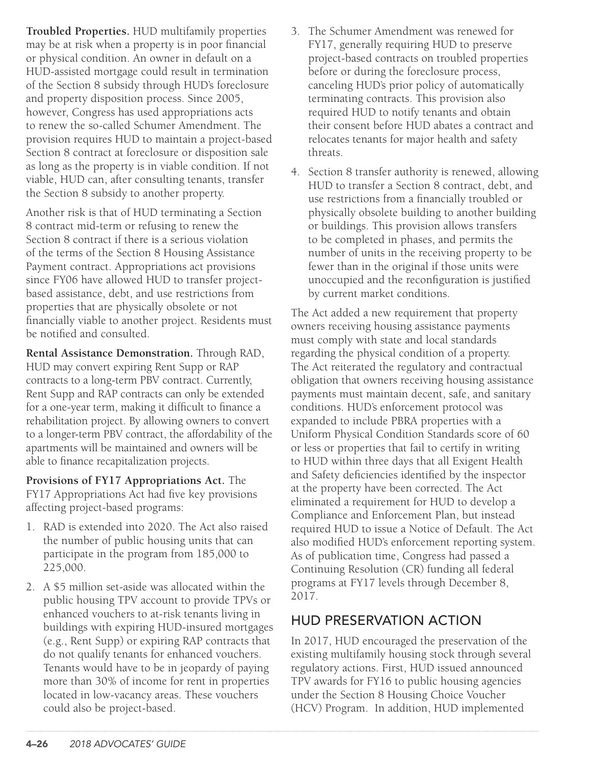**Troubled Properties.** HUD multifamily properties may be at risk when a property is in poor financial or physical condition. An owner in default on a HUD-assisted mortgage could result in termination of the Section 8 subsidy through HUD's foreclosure and property disposition process. Since 2005, however, Congress has used appropriations acts to renew the so-called Schumer Amendment. The provision requires HUD to maintain a project-based Section 8 contract at foreclosure or disposition sale as long as the property is in viable condition. If not viable, HUD can, after consulting tenants, transfer the Section 8 subsidy to another property.

Another risk is that of HUD terminating a Section 8 contract mid-term or refusing to renew the Section 8 contract if there is a serious violation of the terms of the Section 8 Housing Assistance Payment contract. Appropriations act provisions since FY06 have allowed HUD to transfer projectbased assistance, debt, and use restrictions from properties that are physically obsolete or not financially viable to another project. Residents must be notified and consulted.

**Rental Assistance Demonstration.** Through RAD, HUD may convert expiring Rent Supp or RAP contracts to a long-term PBV contract. Currently, Rent Supp and RAP contracts can only be extended for a one-year term, making it difficult to finance a rehabilitation project. By allowing owners to convert to a longer-term PBV contract, the affordability of the apartments will be maintained and owners will be able to finance recapitalization projects.

**Provisions of FY17 Appropriations Act.** The FY17 Appropriations Act had five key provisions affecting project-based programs:

- 1. RAD is extended into 2020. The Act also raised the number of public housing units that can participate in the program from 185,000 to 225,000.
- 2. A \$5 million set-aside was allocated within the public housing TPV account to provide TPVs or enhanced vouchers to at-risk tenants living in buildings with expiring HUD-insured mortgages (e.g., Rent Supp) or expiring RAP contracts that do not qualify tenants for enhanced vouchers. Tenants would have to be in jeopardy of paying more than 30% of income for rent in properties located in low-vacancy areas. These vouchers could also be project-based.
- 3. The Schumer Amendment was renewed for FY17, generally requiring HUD to preserve project-based contracts on troubled properties before or during the foreclosure process, canceling HUD's prior policy of automatically terminating contracts. This provision also required HUD to notify tenants and obtain their consent before HUD abates a contract and relocates tenants for major health and safety threats.
- 4. Section 8 transfer authority is renewed, allowing HUD to transfer a Section 8 contract, debt, and use restrictions from a financially troubled or physically obsolete building to another building or buildings. This provision allows transfers to be completed in phases, and permits the number of units in the receiving property to be fewer than in the original if those units were unoccupied and the reconfiguration is justified by current market conditions.

The Act added a new requirement that property owners receiving housing assistance payments must comply with state and local standards regarding the physical condition of a property. The Act reiterated the regulatory and contractual obligation that owners receiving housing assistance payments must maintain decent, safe, and sanitary conditions. HUD's enforcement protocol was expanded to include PBRA properties with a Uniform Physical Condition Standards score of 60 or less or properties that fail to certify in writing to HUD within three days that all Exigent Health and Safety deficiencies identified by the inspector at the property have been corrected. The Act eliminated a requirement for HUD to develop a Compliance and Enforcement Plan, but instead required HUD to issue a Notice of Default. The Act also modified HUD's enforcement reporting system. As of publication time, Congress had passed a Continuing Resolution (CR) funding all federal programs at FY17 levels through December 8, 2017.

### HUD PRESERVATION ACTION

In 2017, HUD encouraged the preservation of the existing multifamily housing stock through several regulatory actions. First, HUD issued announced TPV awards for FY16 to public housing agencies under the Section 8 Housing Choice Voucher (HCV) Program. In addition, HUD implemented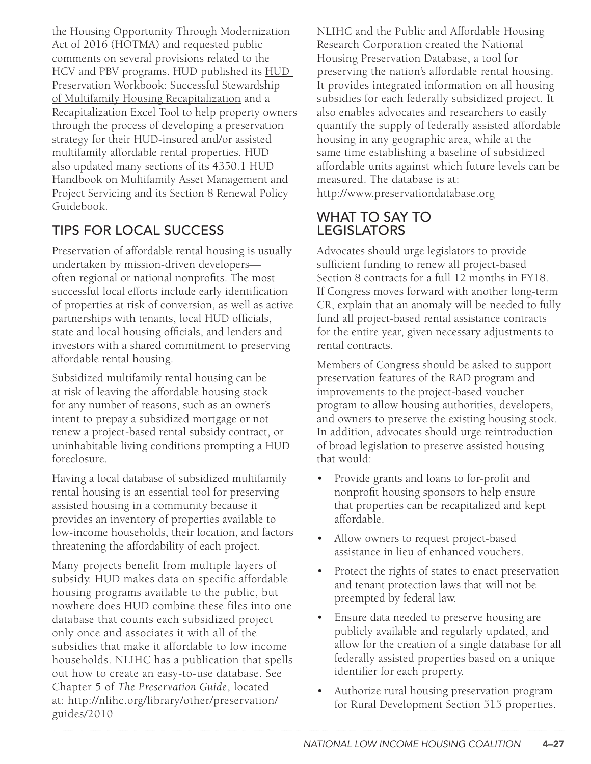the Housing Opportunity Through Modernization Act of 2016 (HOTMA) and requested public comments on several provisions related to the HCV and PBV programs. HUD published its [HUD](http://hudexchange.us5.list-manage2.com/track/click?u=87d7c8afc03ba69ee70d865b9&id=01ede7c8ef&e=21f0c48a35)  [Preservation Workbook: Successful Stewardship](http://hudexchange.us5.list-manage2.com/track/click?u=87d7c8afc03ba69ee70d865b9&id=01ede7c8ef&e=21f0c48a35)  [of Multifamily Housing Recapitalization](http://hudexchange.us5.list-manage2.com/track/click?u=87d7c8afc03ba69ee70d865b9&id=01ede7c8ef&e=21f0c48a35) and a [Recapitalization Excel Tool](http://hudexchange.us5.list-manage2.com/track/click?u=87d7c8afc03ba69ee70d865b9&id=98f7463bbe&e=21f0c48a35) to help property owners through the process of developing a preservation strategy for their HUD-insured and/or assisted multifamily affordable rental properties. HUD also updated many sections of its 4350.1 HUD Handbook on Multifamily Asset Management and Project Servicing and its Section 8 Renewal Policy Guidebook.

# TIPS FOR LOCAL SUCCESS

Preservation of affordable rental housing is usually undertaken by mission-driven developers often regional or national nonprofits. The most successful local efforts include early identification of properties at risk of conversion, as well as active partnerships with tenants, local HUD officials, state and local housing officials, and lenders and investors with a shared commitment to preserving affordable rental housing.

Subsidized multifamily rental housing can be at risk of leaving the affordable housing stock for any number of reasons, such as an owner's intent to prepay a subsidized mortgage or not renew a project-based rental subsidy contract, or uninhabitable living conditions prompting a HUD foreclosure.

Having a local database of subsidized multifamily rental housing is an essential tool for preserving assisted housing in a community because it provides an inventory of properties available to low-income households, their location, and factors threatening the affordability of each project.

Many projects benefit from multiple layers of subsidy. HUD makes data on specific affordable housing programs available to the public, but nowhere does HUD combine these files into one database that counts each subsidized project only once and associates it with all of the subsidies that make it affordable to low income households. NLIHC has a publication that spells out how to create an easy-to-use database. See Chapter 5 of *The Preservation Guide*, located at: [http://nlihc.org/library/other/preservation/](http://nlihc.org/library/other/preservation/guides/2010) [guides/2010](http://nlihc.org/library/other/preservation/guides/2010) 

NLIHC and the Public and Affordable Housing Research Corporation created the National Housing Preservation Database, a tool for preserving the nation's affordable rental housing. It provides integrated information on all housing subsidies for each federally subsidized project. It also enables advocates and researchers to easily quantify the supply of federally assisted affordable housing in any geographic area, while at the same time establishing a baseline of subsidized affordable units against which future levels can be measured. The database is at: <http://www.preservationdatabase.org>

#### WHAT TO SAY TO LEGISLATORS

Advocates should urge legislators to provide sufficient funding to renew all project-based Section 8 contracts for a full 12 months in FY18. If Congress moves forward with another long-term CR, explain that an anomaly will be needed to fully fund all project-based rental assistance contracts for the entire year, given necessary adjustments to rental contracts.

Members of Congress should be asked to support preservation features of the RAD program and improvements to the project-based voucher program to allow housing authorities, developers, and owners to preserve the existing housing stock. In addition, advocates should urge reintroduction of broad legislation to preserve assisted housing that would:

- Provide grants and loans to for-profit and nonprofit housing sponsors to help ensure that properties can be recapitalized and kept affordable.
- Allow owners to request project-based assistance in lieu of enhanced vouchers.
- Protect the rights of states to enact preservation and tenant protection laws that will not be preempted by federal law.
- Ensure data needed to preserve housing are publicly available and regularly updated, and allow for the creation of a single database for all federally assisted properties based on a unique identifier for each property.
- Authorize rural housing preservation program for Rural Development Section 515 properties.